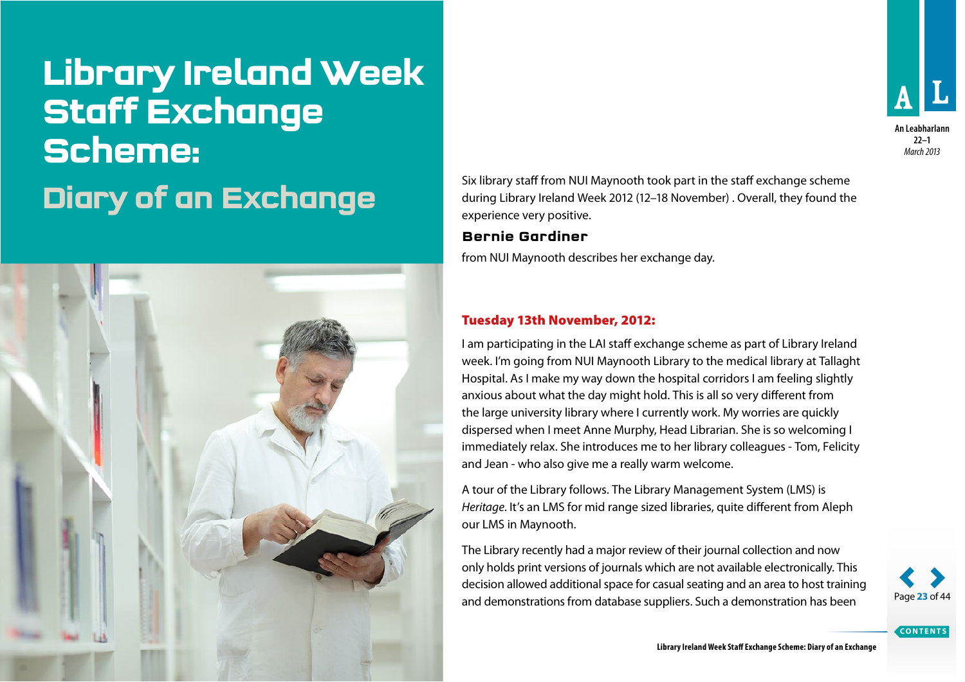## **Library Ireland Week Staff Exchange Scheme:**



Six library staff from NUI Maynooth took part in the staff exchange scheme<br>during Library Ireland Week 2012 (12–18 November) . Overall, they found the during Library Ireland Week 2012 (12–18 November) . Overall, they found the experience very positive.

## **Bernie Gardiner**

from NUI Maynooth describes her exchange day.

## Tuesday 13th November, 2012:

I am participating in the LAI staff exchange scheme as part of Library Ireland week. I'm going from NUI Maynooth Library to the medical library at Tallaght Hospital. As I make my way down the hospital corridors I am feeling slightly anxious about what the day might hold. This is all so very different from the large university library where I currently work. My worries are quickly dispersed when I meet Anne Murphy, Head Librarian. She is so welcoming I immediately relax. She introduces me to her library colleagues - Tom, Felicity and Jean - who also give me a really warm welcome.

A tour of the Library follows. The Library Management System (LMS) is *Heritage*. It's an LMS for mid range sized libraries, quite different from Aleph our LMS in Maynooth.

The Library recently had a major review of their journal collection and now only holds print versions of journals which are not available electronically. This decision allowed additional space for casual seating and an area to host training and demonstrations from database suppliers. Such a demonstration has been



**CONTENTS**

**An Leabharlann 22–1** *March 2013*